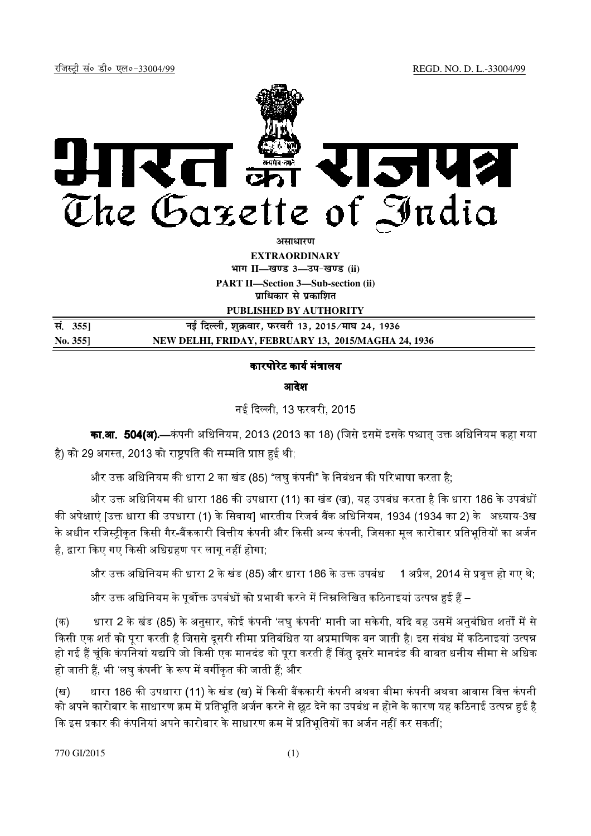

असाधार**ण** 

**EXTRAORDINARY Hkkx II—[k.M 3—mi&[k.M (ii)**

**PART II—Section 3—Sub-section (ii) प्राधिकार से प्रकाशित** 

**PUBLISHED BY AUTHORITY**

| सं. 355]        | नई दिल्ली, शुक्रवार, फरवरी 13, 2015 ∕माघ 24, 1936   |
|-----------------|-----------------------------------------------------|
| $\rm No. 355$ ] | NEW DELHI, FRIDAY, FEBRUARY 13, 2015/MAGHA 24, 1936 |

## कारपोरेट कार्य मंत्रालय

## आदेश

नई दिल्ली, 13 फरवरी, 2015

**का.आ. 504(अ).**—कंपनी अधिनियम, 2013 (2013 का 18) (जिसे इसमें इसके पश्चात् उक्त अधिनियम कहा गया है) को 29 अगस्त. 2013 को राष्टपति की सम्मति प्राप्त हई थी:

और उक्त अधिनियम की धारा 2 का खंड (85) "लघ कंपनी" के निबंधन की परिभाषा करता है:

और उक्त अधिनियम की धारा 186 की उपधारा (11) का खंड (ख), यह उपबंध करता है कि धारा 186 के उपबंधों की अपेक्षाएं ।उक्त धारा की उपधारा (1) के सिवाय] भारतीय रिजर्व बैंक अधिनियम, 1934 (1934 का 2) के अध्याय-3ख के अधीन रजिस्टीकत किसी गैर-बैंककारी वित्तीय कंपनी और किसी अन्य कंपनी. जिसका मल कारोबार प्रतिभतियों का अर्जन ' है, द्वारा किए गए किसी अधिग्रहण पर लागू नहीं होगा;

और उक्त अधिनियम की धारा 2 के खंड (85) और धारा 186 के उक्त उपबंध $\quad$  1 अप्रैल, 2014 से प्रवृत्त हो गए थे;

और उक्त अधिनियम के पर्वोक्त उपबंधों को प्रभावी करने में निम्नलिखित कठिनाइयां उत्पन्न हई हैं –

(क) धारा 2 के खंड (85) के अनुसार, कोई कंपनी 'लघु कंपनी' मानी जा सकेगी, यदि वह उसमें अनुबंधित शर्तों में से किसी एक शर्त को परा करती है जिससे दसरी सीमा प्रतिबंधित या अप्रमाणिक बन जाती है। इस संबंध में कठिनाइयां उत्पन्न हो गई हैं चंकि कंपनियां यद्यपि जो किसी एक मानदंड को परा करती हैं किंत दसरे मानदंड की बाबत धनीय सीमा से अधिक हो जाती हैं. भी 'लघ कंपनी' के रूप में वर्गीकत की जाती हैं. और

(ख) धारा 186 की उपधारा (11) के खंड (ख) में किसी बैंककारी कंपनी अथवा बीमा कंपनी अथवा आवास वित्त कंपनी को अपने कारोबार के साधारण क्रम में प्रतिभति अर्जन करने से छट देने का उपबंध न होने के कारण यह कठिनाई उत्पन्न हई है कि इस प्रकार की कंपनियां अपने कारोबार के साधारण क्रम में प्रतिभतियों का अर्जन नहीं कर सकतीं.

770 GI/2015 (1)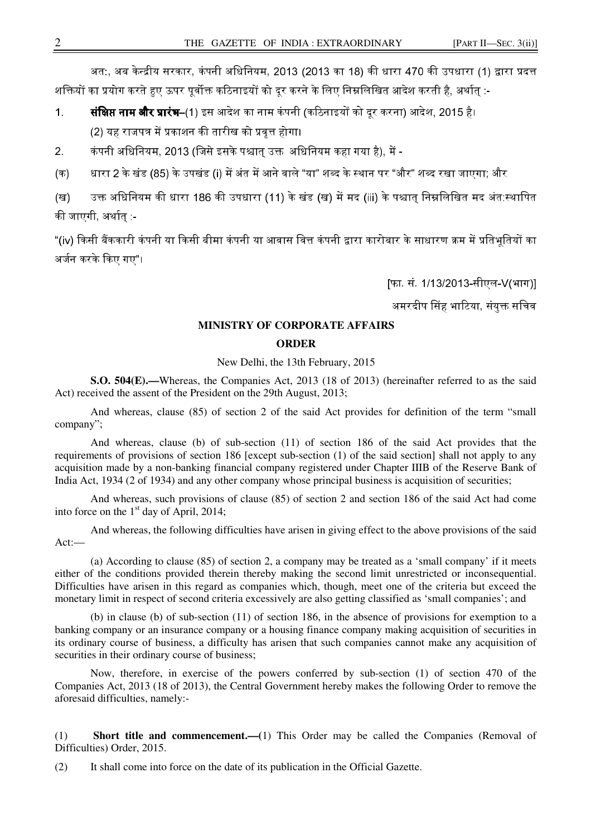अत:, अब केन्द्रीय सरकार, कंपनी अधिनियम, 2013 (2013 का 18) की धारा 470 की उपधारा (1) द्वारा प्रदत्त शक्तियों का प्रयोग करते हुए ऊपर पुर्वोक्त कठिनाइयों को दूर करने के लिए निम्नलिखित आदेश करती है, अर्थातु :-

1. **संक्षिप्त नाम और प्रारंभ**–(1) इस आदेश का नाम कंपनी (कठिनाइयों को दर करना) आदेश, 2015 है। (2) यह राजपत्र में प्रकाशन की तारीख को प्रवत्त होगा।

2. कंपनी अधिनियम, 2013 (जिसे इसके पश्चात उक्त, अधिनियम कहा गया है), में -

(क) धारा 2 के खंड (85) के उपखंड (i) में अंत में आने वाले "या" शब्द के स्थान पर "और" शब्द रखा जाएगा: और '

(ख) उक्त अधिनियम की धारा 186 की उपधारा (11) के खंड (ख) में मद (iii) के पश्चात निम्नलिखित मद अंत:स्थापित की जाएगी अर्थात -

"(iv) किसी बैंककारी कंपनी या किसी बीमा कंपनी या आवास वित्त कंपनी द्वारा कारोबार के साधारण क्रम में प्रतिभतियों का अर्जन करके किए गए"।

[फा. सं. 1/13/2013-सीएल-V(भाग)]

अमरदीप सिंह भाटिया, संयुक्त सचिव

## **MINISTRY OF CORPORATE AFFAIRS**

## **ORDER**

New Delhi, the 13th February, 2015

**S.O. 504(E).—**Whereas, the Companies Act, 2013 (18 of 2013) (hereinafter referred to as the said Act) received the assent of the President on the 29th August, 2013;

 And whereas, clause (85) of section 2 of the said Act provides for definition of the term "small company";

And whereas, clause (b) of sub-section (11) of section 186 of the said Act provides that the requirements of provisions of section 186 [except sub-section (1) of the said section] shall not apply to any acquisition made by a non-banking financial company registered under Chapter IIIB of the Reserve Bank of India Act, 1934 (2 of 1934) and any other company whose principal business is acquisition of securities;

And whereas, such provisions of clause (85) of section 2 and section 186 of the said Act had come into force on the  $1<sup>st</sup>$  day of April, 2014;

 And whereas, the following difficulties have arisen in giving effect to the above provisions of the said Act:—

(a) According to clause (85) of section 2, a company may be treated as a 'small company' if it meets either of the conditions provided therein thereby making the second limit unrestricted or inconsequential. Difficulties have arisen in this regard as companies which, though, meet one of the criteria but exceed the monetary limit in respect of second criteria excessively are also getting classified as 'small companies'; and

(b) in clause (b) of sub-section (11) of section 186, in the absence of provisions for exemption to a banking company or an insurance company or a housing finance company making acquisition of securities in its ordinary course of business, a difficulty has arisen that such companies cannot make any acquisition of securities in their ordinary course of business;

 Now, therefore, in exercise of the powers conferred by sub-section (1) of section 470 of the Companies Act, 2013 (18 of 2013), the Central Government hereby makes the following Order to remove the aforesaid difficulties, namely:-

(1) **Short title and commencement.—(**1) This Order may be called the Companies (Removal of Difficulties) Order, 2015.

(2) It shall come into force on the date of its publication in the Official Gazette.